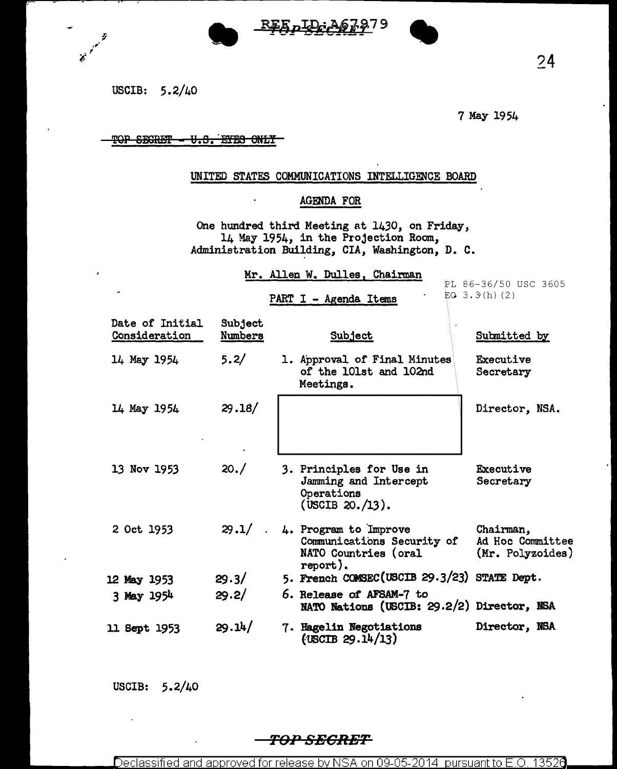

USCIB: 5.2/40

Ž

 $\overrightarrow{e}^{\prime}$ 

7 May 1954

### TOP SECRET - U.S. EYES ONLY

#### UNITED STATES COMMUNICATIONS INTELLIGENCE BOARD

# AGENDA FOR

One hundred third Meeting at 1430, on Friday, 14 May 1954, in the Projection Room, Administration Building, CIA, Washington, D. C.

Mr. Allen W. Dulles, Chairman

PART I - Agenda Items

PL 86-36/50 USC 3605 EQ  $3.3(h)$  (2)

|                     | Date of Initial<br>Consideration | Subject<br><u>Numbers</u> | Subject                                                                                        | Submitted by                                      |
|---------------------|----------------------------------|---------------------------|------------------------------------------------------------------------------------------------|---------------------------------------------------|
| 14 May 1954         |                                  | 5.2/                      | 1. Approval of Final Minutes<br>of the 101st and 102nd<br>Meetings.                            | Executive<br>Secretary                            |
| 14 May 1954         |                                  | 29.18/                    |                                                                                                | Director, NSA.                                    |
| 13 Nov 1953         |                                  | 20.7                      | 3. Principles for Use in<br>Jamming and Intercept<br>Operations<br>$($ USCIB 20./13).          | Executive<br>Secretary                            |
| 2 Oct 1953          |                                  | 29.1/                     | 4. Program to Improve<br>Communications Security of<br><b>NATO Countries (oral</b><br>report). | Chairman,<br>Ad Hoc Committee<br>(Mr. Polyzoides) |
| 12 May 1953         |                                  | 29.3/                     | 5. French COMSEC(USCIB 29.3/23) STATE Dept.                                                    |                                                   |
| 3 May 1954          |                                  | 29.2/                     | 6. Release of AFSAM-7 to<br>NATO Nations (USCIB: 29.2/2) Director, NSA                         |                                                   |
| <b>11 Sept 1953</b> |                                  | 29.14/                    | 7. Hagelin Negotiations<br>(USCIB 29.14/13)                                                    | Director, NSA                                     |

USCIB: 5.2/40

## *TOP SECRET*